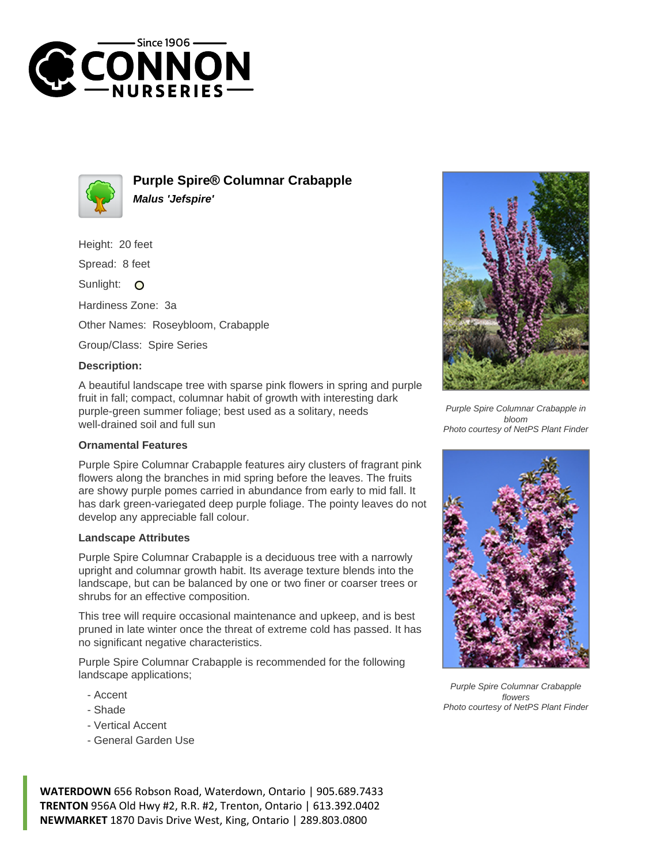



**Purple Spire® Columnar Crabapple Malus 'Jefspire'**

Height: 20 feet

Spread: 8 feet

Sunlight: O

Hardiness Zone: 3a

Other Names: Roseybloom, Crabapple

Group/Class: Spire Series

## **Description:**

A beautiful landscape tree with sparse pink flowers in spring and purple fruit in fall; compact, columnar habit of growth with interesting dark purple-green summer foliage; best used as a solitary, needs well-drained soil and full sun

## **Ornamental Features**

Purple Spire Columnar Crabapple features airy clusters of fragrant pink flowers along the branches in mid spring before the leaves. The fruits are showy purple pomes carried in abundance from early to mid fall. It has dark green-variegated deep purple foliage. The pointy leaves do not develop any appreciable fall colour.

## **Landscape Attributes**

Purple Spire Columnar Crabapple is a deciduous tree with a narrowly upright and columnar growth habit. Its average texture blends into the landscape, but can be balanced by one or two finer or coarser trees or shrubs for an effective composition.

This tree will require occasional maintenance and upkeep, and is best pruned in late winter once the threat of extreme cold has passed. It has no significant negative characteristics.

Purple Spire Columnar Crabapple is recommended for the following landscape applications;

- Accent
- Shade
- Vertical Accent
- General Garden Use



Purple Spire Columnar Crabapple in bloom Photo courtesy of NetPS Plant Finder



Purple Spire Columnar Crabapple flowers Photo courtesy of NetPS Plant Finder

**WATERDOWN** 656 Robson Road, Waterdown, Ontario | 905.689.7433 **TRENTON** 956A Old Hwy #2, R.R. #2, Trenton, Ontario | 613.392.0402 **NEWMARKET** 1870 Davis Drive West, King, Ontario | 289.803.0800